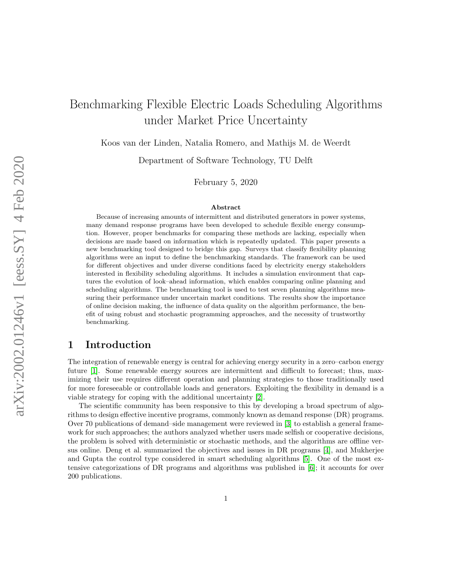# Benchmarking Flexible Electric Loads Scheduling Algorithms under Market Price Uncertainty

Koos van der Linden, Natalia Romero, and Mathijs M. de Weerdt

Department of Software Technology, TU Delft

February 5, 2020

#### Abstract

Because of increasing amounts of intermittent and distributed generators in power systems, many demand response programs have been developed to schedule flexible energy consumption. However, proper benchmarks for comparing these methods are lacking, especially when decisions are made based on information which is repeatedly updated. This paper presents a new benchmarking tool designed to bridge this gap. Surveys that classify flexibility planning algorithms were an input to define the benchmarking standards. The framework can be used for different objectives and under diverse conditions faced by electricity energy stakeholders interested in flexibility scheduling algorithms. It includes a simulation environment that captures the evolution of look–ahead information, which enables comparing online planning and scheduling algorithms. The benchmarking tool is used to test seven planning algorithms measuring their performance under uncertain market conditions. The results show the importance of online decision making, the influence of data quality on the algorithm performance, the benefit of using robust and stochastic programming approaches, and the necessity of trustworthy benchmarking.

# 1 Introduction

The integration of renewable energy is central for achieving energy security in a zero–carbon energy future [\[1\]](#page-12-0). Some renewable energy sources are intermittent and difficult to forecast; thus, maximizing their use requires different operation and planning strategies to those traditionally used for more foreseeable or controllable loads and generators. Exploiting the flexibility in demand is a viable strategy for coping with the additional uncertainty [\[2\]](#page-12-1).

The scientific community has been responsive to this by developing a broad spectrum of algorithms to design effective incentive programs, commonly known as demand response (DR) programs. Over 70 publications of demand–side management were reviewed in [\[3\]](#page-12-2) to establish a general framework for such approaches; the authors analyzed whether users made selfish or cooperative decisions, the problem is solved with deterministic or stochastic methods, and the algorithms are offline versus online. Deng et al. summarized the objectives and issues in DR programs [\[4\]](#page-12-3), and Mukherjee and Gupta the control type considered in smart scheduling algorithms [\[5\]](#page-12-4). One of the most extensive categorizations of DR programs and algorithms was published in [\[6\]](#page-12-5); it accounts for over 200 publications.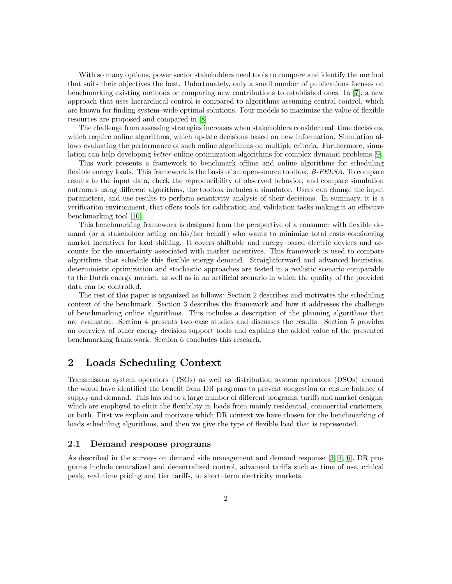With so many options, power sector stakeholders need tools to compare and identify the method that suits their objectives the best. Unfortunately, only a small number of publications focuses on benchmarking existing methods or comparing new contributions to established ones. In [\[7\]](#page-13-0), a new approach that uses hierarchical control is compared to algorithms assuming central control, which are known for finding system–wide optimal solutions. Four models to maximize the value of flexible resources are proposed and compared in [\[8\]](#page-13-1).

The challenge from assessing strategies increases when stakeholders consider real–time decisions, which require online algorithms, which update decisions based on new information. Simulation allows evaluating the performance of such online algorithms on multiple criteria. Furthermore, simulation can help developing better online optimization algorithms for complex dynamic problems [\[9\]](#page-13-2).

This work presents a framework to benchmark offline and online algorithms for scheduling flexible energy loads. This framework is the basis of an open-source toolbox, B-FELSA. To compare results to the input data, check the reproducibility of observed behavior, and compare simulation outcomes using different algorithms, the toolbox includes a simulator. Users can change the input parameters, and use results to perform sensitivity analysis of their decisions. In summary, it is a verification environment, that offers tools for calibration and validation tasks making it an effective benchmarking tool [\[10\]](#page-13-3).

This benchmarking framework is designed from the perspective of a consumer with flexible demand (or a stakeholder acting on his/her behalf) who wants to minimize total costs considering market incentives for load shifting. It covers shiftable and energy–based electric devices and accounts for the uncertainty associated with market incentives. This framework is used to compare algorithms that schedule this flexible energy demand. Straightforward and advanced heuristics, deterministic optimization and stochastic approaches are tested in a realistic scenario comparable to the Dutch energy market, as well as in an artificial scenario in which the quality of the provided data can be controlled.

The rest of this paper is organized as follows: Section 2 describes and motivates the scheduling context of the benchmark. Section 3 describes the framework and how it addresses the challenge of benchmarking online algorithms. This includes a description of the planning algorithms that are evaluated. Section 4 presents two case studies and discusses the results. Section 5 provides an overview of other energy decision support tools and explains the added value of the presented benchmarking framework. Section 6 concludes this research.

# 2 Loads Scheduling Context

Transmission system operators (TSOs) as well as distribution system operators (DSOs) around the world have identified the benefit from DR programs to prevent congestion or ensure balance of supply and demand. This has led to a large number of different programs, tariffs and market designs, which are employed to elicit the flexibility in loads from mainly residential, commercial customers, or both. First we explain and motivate which DR context we have chosen for the benchmarking of loads scheduling algorithms, and then we give the type of flexible load that is represented.

#### 2.1 Demand response programs

As described in the surveys on demand side management and demand response [\[3,](#page-12-2) [4,](#page-12-3) [6\]](#page-12-5), DR programs include centralized and decentralized control, advanced tariffs such as time of use, critical peak, real–time pricing and tier tariffs, to short–term electricity markets.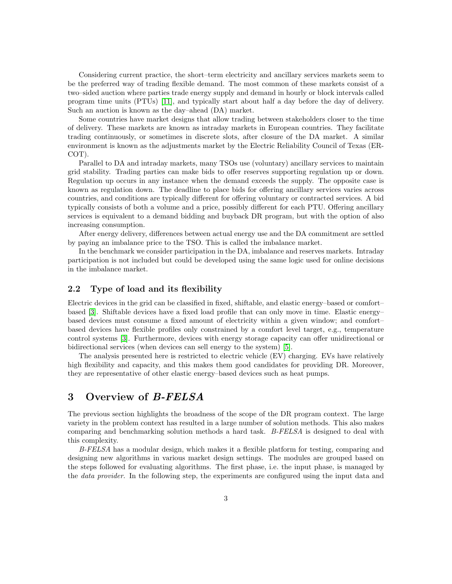Considering current practice, the short–term electricity and ancillary services markets seem to be the preferred way of trading flexible demand. The most common of these markets consist of a two–sided auction where parties trade energy supply and demand in hourly or block intervals called program time units (PTUs) [\[11\]](#page-13-4), and typically start about half a day before the day of delivery. Such an auction is known as the day–ahead (DA) market.

Some countries have market designs that allow trading between stakeholders closer to the time of delivery. These markets are known as intraday markets in European countries. They facilitate trading continuously, or sometimes in discrete slots, after closure of the DA market. A similar environment is known as the adjustments market by the Electric Reliability Council of Texas (ER-COT).

Parallel to DA and intraday markets, many TSOs use (voluntary) ancillary services to maintain grid stability. Trading parties can make bids to offer reserves supporting regulation up or down. Regulation up occurs in any instance when the demand exceeds the supply. The opposite case is known as regulation down. The deadline to place bids for offering ancillary services varies across countries, and conditions are typically different for offering voluntary or contracted services. A bid typically consists of both a volume and a price, possibly different for each PTU. Offering ancillary services is equivalent to a demand bidding and buyback DR program, but with the option of also increasing consumption.

After energy delivery, differences between actual energy use and the DA commitment are settled by paying an imbalance price to the TSO. This is called the imbalance market.

In the benchmark we consider participation in the DA, imbalance and reserves markets. Intraday participation is not included but could be developed using the same logic used for online decisions in the imbalance market.

#### 2.2 Type of load and its flexibility

Electric devices in the grid can be classified in fixed, shiftable, and elastic energy–based or comfort– based [\[3\]](#page-12-2). Shiftable devices have a fixed load profile that can only move in time. Elastic energy– based devices must consume a fixed amount of electricity within a given window; and comfort– based devices have flexible profiles only constrained by a comfort level target, e.g., temperature control systems [\[3\]](#page-12-2). Furthermore, devices with energy storage capacity can offer unidirectional or bidirectional services (when devices can sell energy to the system) [\[5\]](#page-12-4).

The analysis presented here is restricted to electric vehicle (EV) charging. EVs have relatively high flexibility and capacity, and this makes them good candidates for providing DR. Moreover, they are representative of other elastic energy–based devices such as heat pumps.

### 3 Overview of B-FELSA

The previous section highlights the broadness of the scope of the DR program context. The large variety in the problem context has resulted in a large number of solution methods. This also makes comparing and benchmarking solution methods a hard task. B-FELSA is designed to deal with this complexity.

B-FELSA has a modular design, which makes it a flexible platform for testing, comparing and designing new algorithms in various market design settings. The modules are grouped based on the steps followed for evaluating algorithms. The first phase, i.e. the input phase, is managed by the *data provider*. In the following step, the experiments are configured using the input data and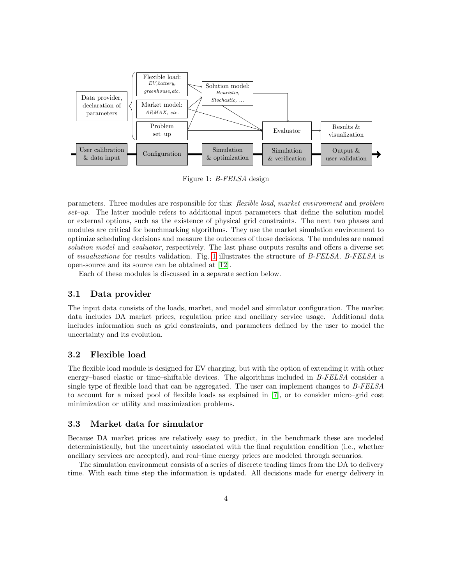<span id="page-3-0"></span>

Figure 1: B-FELSA design

parameters. Three modules are responsible for this: flexible load, market environment and problem set–up. The latter module refers to additional input parameters that define the solution model or external options, such as the existence of physical grid constraints. The next two phases and modules are critical for benchmarking algorithms. They use the market simulation environment to optimize scheduling decisions and measure the outcomes of those decisions. The modules are named solution model and evaluator, respectively. The last phase outputs results and offers a diverse set of visualizations for results validation. Fig. [1](#page-3-0) illustrates the structure of B-FELSA. B-FELSA is open-source and its source can be obtained at [\[12\]](#page-13-5).

Each of these modules is discussed in a separate section below.

#### 3.1 Data provider

The input data consists of the loads, market, and model and simulator configuration. The market data includes DA market prices, regulation price and ancillary service usage. Additional data includes information such as grid constraints, and parameters defined by the user to model the uncertainty and its evolution.

#### 3.2 Flexible load

The flexible load module is designed for EV charging, but with the option of extending it with other energy–based elastic or time–shiftable devices. The algorithms included in B-FELSA consider a single type of flexible load that can be aggregated. The user can implement changes to B-FELSA to account for a mixed pool of flexible loads as explained in [\[7\]](#page-13-0), or to consider micro–grid cost minimization or utility and maximization problems.

#### 3.3 Market data for simulator

Because DA market prices are relatively easy to predict, in the benchmark these are modeled deterministically, but the uncertainty associated with the final regulation condition (i.e., whether ancillary services are accepted), and real–time energy prices are modeled through scenarios.

The simulation environment consists of a series of discrete trading times from the DA to delivery time. With each time step the information is updated. All decisions made for energy delivery in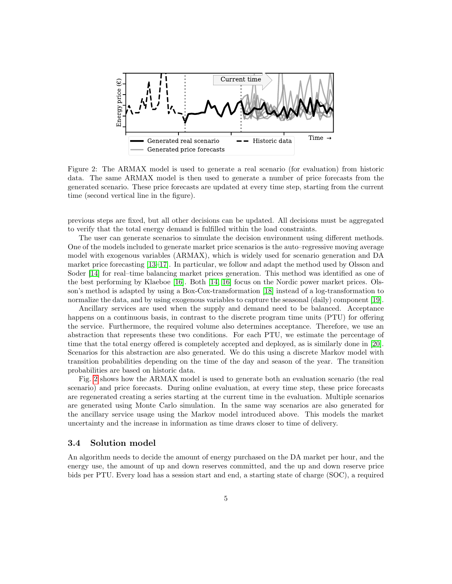<span id="page-4-0"></span>

Figure 2: The ARMAX model is used to generate a real scenario (for evaluation) from historic data. The same ARMAX model is then used to generate a number of price forecasts from the generated scenario. These price forecasts are updated at every time step, starting from the current time (second vertical line in the figure).

previous steps are fixed, but all other decisions can be updated. All decisions must be aggregated to verify that the total energy demand is fulfilled within the load constraints.

The user can generate scenarios to simulate the decision environment using different methods. One of the models included to generate market price scenarios is the auto–regressive moving average model with exogenous variables (ARMAX), which is widely used for scenario generation and DA market price forecasting [\[13](#page-13-6)[–17\]](#page-13-7). In particular, we follow and adapt the method used by Olsson and Soder [\[14\]](#page-13-8) for real–time balancing market prices generation. This method was identified as one of the best performing by Klaeboe [\[16\]](#page-13-9). Both [\[14,](#page-13-8) [16\]](#page-13-9) focus on the Nordic power market prices. Olsson's method is adapted by using a Box-Cox-transformation [\[18\]](#page-13-10) instead of a log-transformation to normalize the data, and by using exogenous variables to capture the seasonal (daily) component [\[19\]](#page-13-11).

Ancillary services are used when the supply and demand need to be balanced. Acceptance happens on a continuous basis, in contrast to the discrete program time units (PTU) for offering the service. Furthermore, the required volume also determines acceptance. Therefore, we use an abstraction that represents these two conditions. For each PTU, we estimate the percentage of time that the total energy offered is completely accepted and deployed, as is similarly done in [\[20\]](#page-14-0). Scenarios for this abstraction are also generated. We do this using a discrete Markov model with transition probabilities depending on the time of the day and season of the year. The transition probabilities are based on historic data.

Fig. [2](#page-4-0) shows how the ARMAX model is used to generate both an evaluation scenario (the real scenario) and price forecasts. During online evaluation, at every time step, these price forecasts are regenerated creating a series starting at the current time in the evaluation. Multiple scenarios are generated using Monte Carlo simulation. In the same way scenarios are also generated for the ancillary service usage using the Markov model introduced above. This models the market uncertainty and the increase in information as time draws closer to time of delivery.

#### 3.4 Solution model

An algorithm needs to decide the amount of energy purchased on the DA market per hour, and the energy use, the amount of up and down reserves committed, and the up and down reserve price bids per PTU. Every load has a session start and end, a starting state of charge (SOC), a required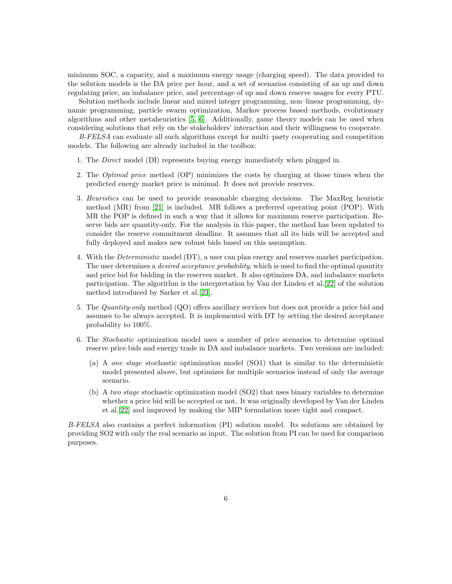minimum SOC, a capacity, and a maximum energy usage (charging speed). The data provided to the solution models is the DA price per hour, and a set of scenarios consisting of an up and down regulating price, an imbalance price, and percentage of up and down reserve usages for every PTU.

Solution methods include linear and mixed integer programming, non–linear programming, dynamic programming, particle swarm optimization, Markov process based–methods, evolutionary algorithms and other metaheuristics [\[5,](#page-12-4) [6\]](#page-12-5). Additionally, game theory models can be used when considering solutions that rely on the stakeholders' interaction and their willingness to cooperate.

B-FELSA can evaluate all such algorithms except for multi–party cooperating and competition models. The following are already included in the toolbox:

- 1. The Direct model (DI) represents buying energy immediately when plugged in.
- 2. The Optimal price method (OP) minimizes the costs by charging at those times when the predicted energy market price is minimal. It does not provide reserves.
- 3. Heuristics can be used to provide reasonable charging decisions. The MaxReg heuristic method (MR) from [\[21\]](#page-14-1) is included. MR follows a preferred operating point (POP). With MR the POP is defined in such a way that it allows for maximum reserve participation. Reserve bids are quantity-only. For the analysis in this paper, the method has been updated to consider the reserve commitment deadline. It assumes that all its bids will be accepted and fully deployed and makes new robust bids based on this assumption.
- 4. With the Deterministic model (DT), a user can plan energy and reserves market participation. The user determines a *desired acceptance probability*, which is used to find the optimal quantity and price bid for bidding in the reserves market. It also optimizes DA, and imbalance markets participation. The algorithm is the interpretation by Van der Linden et al.[\[22\]](#page-14-2) of the solution method introduced by Sarker et al.[\[23\]](#page-14-3).
- 5. The Quantity-only method (QO) offers ancillary services but does not provide a price bid and assumes to be always accepted. It is implemented with DT by setting the desired acceptance probability to 100%.
- 6. The Stochastic optimization model uses a number of price scenarios to determine optimal reserve price bids and energy trade in DA and imbalance markets. Two versions are included:
	- (a) A one stage stochastic optimization model (SO1) that is similar to the deterministic model presented above, but optimizes for multiple scenarios instead of only the average scenario.
	- (b) A two stage stochastic optimization model (SO2) that uses binary variables to determine whether a price bid will be accepted or not. It was originally developed by Van der Linden et al.[\[22\]](#page-14-2) and improved by making the MIP formulation more tight and compact.

B-FELSA also contains a perfect information (PI) solution model. Its solutions are obtained by providing SO2 with only the real scenario as input. The solution from PI can be used for comparison purposes.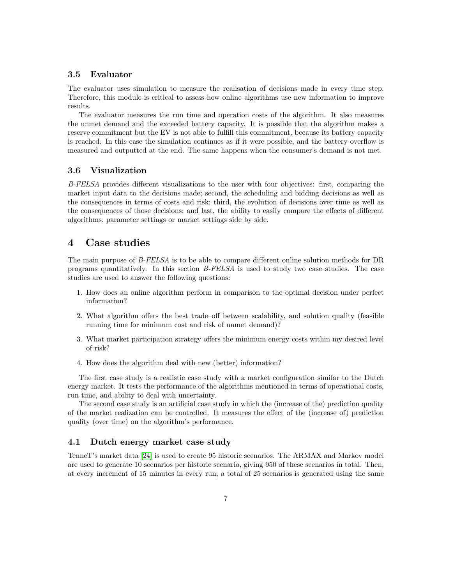#### 3.5 Evaluator

The evaluator uses simulation to measure the realisation of decisions made in every time step. Therefore, this module is critical to assess how online algorithms use new information to improve results.

The evaluator measures the run time and operation costs of the algorithm. It also measures the unmet demand and the exceeded battery capacity. It is possible that the algorithm makes a reserve commitment but the EV is not able to fulfill this commitment, because its battery capacity is reached. In this case the simulation continues as if it were possible, and the battery overflow is measured and outputted at the end. The same happens when the consumer's demand is not met.

#### 3.6 Visualization

B-FELSA provides different visualizations to the user with four objectives: first, comparing the market input data to the decisions made; second, the scheduling and bidding decisions as well as the consequences in terms of costs and risk; third, the evolution of decisions over time as well as the consequences of those decisions; and last, the ability to easily compare the effects of different algorithms, parameter settings or market settings side by side.

# 4 Case studies

The main purpose of B-FELSA is to be able to compare different online solution methods for DR programs quantitatively. In this section B-FELSA is used to study two case studies. The case studies are used to answer the following questions:

- 1. How does an online algorithm perform in comparison to the optimal decision under perfect information?
- 2. What algorithm offers the best trade–off between scalability, and solution quality (feasible running time for minimum cost and risk of unmet demand)?
- 3. What market participation strategy offers the minimum energy costs within my desired level of risk?
- 4. How does the algorithm deal with new (better) information?

The first case study is a realistic case study with a market configuration similar to the Dutch energy market. It tests the performance of the algorithms mentioned in terms of operational costs, run time, and ability to deal with uncertainty.

The second case study is an artificial case study in which the (increase of the) prediction quality of the market realization can be controlled. It measures the effect of the (increase of) prediction quality (over time) on the algorithm's performance.

#### 4.1 Dutch energy market case study

TenneT's market data [\[24\]](#page-14-4) is used to create 95 historic scenarios. The ARMAX and Markov model are used to generate 10 scenarios per historic scenario, giving 950 of these scenarios in total. Then, at every increment of 15 minutes in every run, a total of 25 scenarios is generated using the same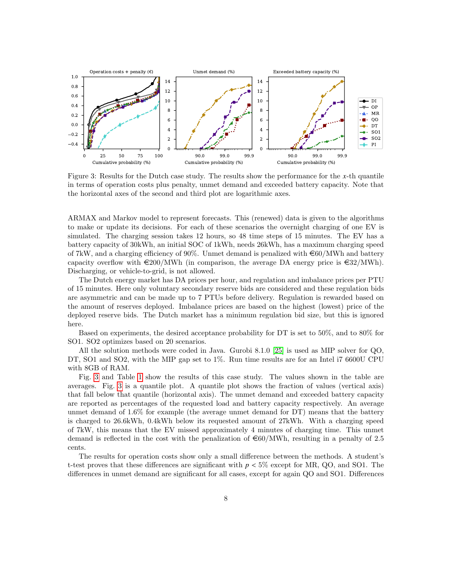<span id="page-7-0"></span>

Figure 3: Results for the Dutch case study. The results show the performance for the *x*-th quantile in terms of operation costs plus penalty, unmet demand and exceeded battery capacity. Note that the horizontal axes of the second and third plot are logarithmic axes.

ARMAX and Markov model to represent forecasts. This (renewed) data is given to the algorithms to make or update its decisions. For each of these scenarios the overnight charging of one EV is simulated. The charging session takes 12 hours, so 48 time steps of 15 minutes. The EV has a battery capacity of 30kWh, an initial SOC of 1kWh, needs 26kWh, has a maximum charging speed of 7kW, and a charging efficiency of 90%. Unmet demand is penalized with  $\epsilon$ 60/MWh and battery capacity overflow with  $\epsilon$ 200/MWh (in comparison, the average DA energy price is  $\epsilon$ 32/MWh). Discharging, or vehicle-to-grid, is not allowed.

The Dutch energy market has DA prices per hour, and regulation and imbalance prices per PTU of 15 minutes. Here only voluntary secondary reserve bids are considered and these regulation bids are asymmetric and can be made up to 7 PTUs before delivery. Regulation is rewarded based on the amount of reserves deployed. Imbalance prices are based on the highest (lowest) price of the deployed reserve bids. The Dutch market has a minimum regulation bid size, but this is ignored here.

Based on experiments, the desired acceptance probability for DT is set to 50%, and to 80% for SO1. SO2 optimizes based on 20 scenarios.

All the solution methods were coded in Java. Gurobi 8.1.0 [\[25\]](#page-14-5) is used as MIP solver for QO, DT, SO1 and SO2, with the MIP gap set to 1%. Run time results are for an Intel i7 6600U CPU with 8GB of RAM.

Fig. [3](#page-7-0) and Table [1](#page-8-0) show the results of this case study. The values shown in the table are averages. Fig. [3](#page-7-0) is a quantile plot. A quantile plot shows the fraction of values (vertical axis) that fall below that quantile (horizontal axis). The unmet demand and exceeded battery capacity are reported as percentages of the requested load and battery capacity respectively. An average unmet demand of 1.6% for example (the average unmet demand for DT) means that the battery is charged to 26.6kWh, 0.4kWh below its requested amount of 27kWh. With a charging speed of 7kW, this means that the EV missed approximately 4 minutes of charging time. This unmet demand is reflected in the cost with the penalization of  $\epsilon$ 60/MWh, resulting in a penalty of 2.5 cents.

The results for operation costs show only a small difference between the methods. A student's t-test proves that these differences are significant with *<sup>p</sup>* < 5% except for MR, QO, and SO1. The differences in unmet demand are significant for all cases, except for again QO and SO1. Differences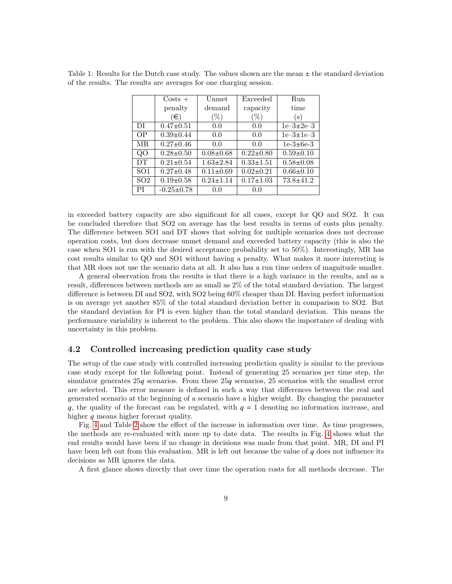|                 | $\text{Costs} +$ | Unmet           | Exceeded        | Run             |
|-----------------|------------------|-----------------|-----------------|-----------------|
|                 | penalty          | demand          | capacity        | time            |
|                 | (€)              | $(\%)$          | $(\%)$          | (s)             |
| DI              | $0.47 \pm 0.51$  | 0.0             | 0.0             | $1e-3\pm 2e-3$  |
| OΡ              | $0.39 \pm 0.44$  | 0.0             | 0.0             | $1e-3\pm 1e-3$  |
| MR.             | $0.27 \pm 0.46$  | 0.0             | 0.0             | $1e-3\pm 6e-3$  |
| QO              | $0.28 \pm 0.50$  | $0.08 \pm 0.68$ | $0.22 \pm 0.80$ | $0.59 \pm 0.10$ |
| DT              | $0.21 \pm 0.54$  | $1.63 \pm 2.84$ | $0.33 \pm 1.51$ | $0.58 \pm 0.08$ |
| SO <sub>1</sub> | $0.27 \pm 0.48$  | $0.11 \pm 0.69$ | $0.02 \pm 0.21$ | $0.66 \pm 0.10$ |
| SO <sub>2</sub> | $0.19 \pm 0.58$  | $0.24 \pm 1.14$ | $0.17 \pm 1.03$ | $73.8 \pm 41.2$ |
| РI              | $-0.25 \pm 0.78$ | 0.0             | 0.0             |                 |

<span id="page-8-0"></span>Table 1: Results for the Dutch case study. The values shown are the mean  $\pm$  the standard deviation of the results. The results are averages for one charging session.

in exceeded battery capacity are also significant for all cases, except for QO and SO2. It can be concluded therefore that SO2 on average has the best results in terms of costs plus penalty. The difference between SO1 and DT shows that solving for multiple scenarios does not decrease operation costs, but does decrease unmet demand and exceeded battery capacity (this is also the case when SO1 is run with the desired acceptance probability set to 50%). Interestingly, MR has cost results similar to QO and SO1 without having a penalty. What makes it more interesting is that MR does not use the scenario data at all. It also has a run time orders of magnitude smaller.

A general observation from the results is that there is a high variance in the results, and as a result, differences between methods are as small as 2% of the total standard deviation. The largest difference is between DI and SO2, with SO2 being 60% cheaper than DI. Having perfect information is on average yet another 85% of the total standard deviation better in comparison to SO2. But the standard deviation for PI is even higher than the total standard deviation. This means the performance variability is inherent to the problem. This also shows the importance of dealing with uncertainty in this problem.

#### 4.2 Controlled increasing prediction quality case study

The setup of the case study with controlled increasing prediction quality is similar to the previous case study except for the following point. Instead of generating 25 scenarios per time step, the simulator generates 25*q* scenarios. From these 25*q* scenarios, 25 scenarios with the smallest error are selected. This error measure is defined in such a way that differences between the real and generated scenario at the beginning of a scenario have a higher weight. By changing the parameter *q*, the quality of the forecast can be regulated, with *q* = 1 denoting no information increase, and higher *q* means higher forecast quality.

Fig. [4](#page-10-0) and Table [2](#page-9-0) show the effect of the increase in information over time. As time progresses, the methods are re-evaluated with more up to date data. The results in Fig. [4](#page-10-0) shows what the end results would have been if no change in decisions was made from that point. MR, DI and PI have been left out from this evaluation. MR is left out because the value of *q* does not influence its decisions as MR ignores the data.

A first glance shows directly that over time the operation costs for all methods decrease. The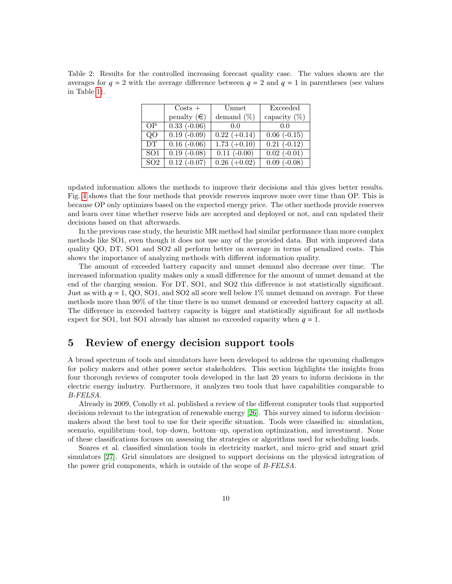<span id="page-9-0"></span>Table 2: Results for the controlled increasing forecast quality case. The values shown are the averages for  $q = 2$  with the average difference between  $q = 2$  and  $q = 1$  in parentheses (see values in Table [1\)](#page-8-0).

|                 | $\text{Costs}$ +   | Unmet          | Exceeded           |
|-----------------|--------------------|----------------|--------------------|
|                 | penalty $(\in)$    | demand $(\%)$  | capacity $(\%)$    |
| <b>OP</b>       | $0.33(-0.06)$      | 0.0            | 0.0                |
| 00              | $0.19(-0.09)$      | $0.22 (+0.14)$ | $0.06(-0.15)$      |
| DT              | $0.16(-0.06)$      | $1.73 (+0.10)$ | $0.21(-0.12)$      |
| SO <sub>1</sub> | $0.19(-0.08)$      | $0.11(-0.00)$  | $0.02$ ( $-0.01$ ) |
| SO <sub>2</sub> | $0.12$ ( $-0.07$ ) | $0.26 (+0.02)$ | $0.09$ ( $-0.08$ ) |

updated information allows the methods to improve their decisions and this gives better results. Fig. [4](#page-10-0) shows that the four methods that provide reserves improve more over time than OP. This is because OP only optimizes based on the expected energy price. The other methods provide reserves and learn over time whether reserve bids are accepted and deployed or not, and can updated their decisions based on that afterwards.

In the previous case study, the heuristic MR method had similar performance than more complex methods like SO1, even though it does not use any of the provided data. But with improved data quality QO, DT, SO1 and SO2 all perform better on average in terms of penalized costs. This shows the importance of analyzing methods with different information quality.

The amount of exceeded battery capacity and unmet demand also decrease over time. The increased information quality makes only a small difference for the amount of unmet demand at the end of the charging session. For DT, SO1, and SO2 this difference is not statistically significant. Just as with *q* = 1, QO, SO1, and SO2 all score well below 1% unmet demand on average. For these methods more than 90% of the time there is no unmet demand or exceeded battery capacity at all. The difference in exceeded battery capacity is bigger and statistically significant for all methods expect for SO1, but SO1 already has almost no exceeded capacity when  $q = 1$ .

# 5 Review of energy decision support tools

A broad spectrum of tools and simulators have been developed to address the upcoming challenges for policy makers and other power sector stakeholders. This section highlights the insights from four thorough reviews of computer tools developed in the last 20 years to inform decisions in the electric energy industry. Furthermore, it analyzes two tools that have capabilities comparable to B-FELSA.

Already in 2009, Conolly et al. published a review of the different computer tools that supported decisions relevant to the integration of renewable energy [\[26\]](#page-14-6). This survey aimed to inform decision– makers about the best tool to use for their specific situation. Tools were classified in: simulation, scenario, equilibrium–tool, top–down, bottom–up, operation optimization, and investment. None of these classifications focuses on assessing the strategies or algorithms used for scheduling loads.

Soares et al. classified simulation tools in electricity market, and micro–grid and smart grid simulators [\[27\]](#page-14-7). Grid simulators are designed to support decisions on the physical integration of the power grid components, which is outside of the scope of B-FELSA.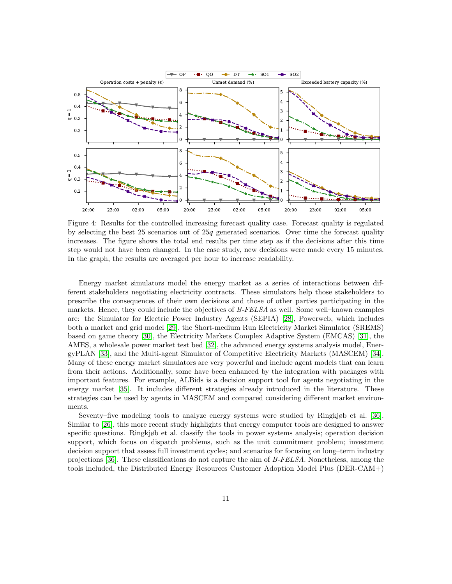<span id="page-10-0"></span>

Figure 4: Results for the controlled increasing forecast quality case. Forecast quality is regulated by selecting the best 25 scenarios out of 25*q* generated scenarios. Over time the forecast quality increases. The figure shows the total end results per time step as if the decisions after this time step would not have been changed. In the case study, new decisions were made every 15 minutes. In the graph, the results are averaged per hour to increase readability.

Energy market simulators model the energy market as a series of interactions between different stakeholders negotiating electricity contracts. These simulators help those stakeholders to prescribe the consequences of their own decisions and those of other parties participating in the markets. Hence, they could include the objectives of  $B\text{-}FELSA$  as well. Some well–known examples are: the Simulator for Electric Power Industry Agents (SEPIA) [\[28\]](#page-14-8), Powerweb, which includes both a market and grid model [\[29\]](#page-14-9), the Short-medium Run Electricity Market Simulator (SREMS) based on game theory [\[30\]](#page-14-10), the Electricity Markets Complex Adaptive System (EMCAS) [\[31\]](#page-14-11), the AMES, a wholesale power market test bed [\[32\]](#page-14-12), the advanced energy systems analysis model, EnergyPLAN [\[33\]](#page-15-0), and the Multi-agent Simulator of Competitive Electricity Markets (MASCEM) [\[34\]](#page-15-1). Many of these energy market simulators are very powerful and include agent models that can learn from their actions. Additionally, some have been enhanced by the integration with packages with important features. For example, ALBids is a decision support tool for agents negotiating in the energy market [\[35\]](#page-15-2). It includes different strategies already introduced in the literature. These strategies can be used by agents in MASCEM and compared considering different market environments.

Seventy–five modeling tools to analyze energy systems were studied by Ringkjøb et al. [\[36\]](#page-15-3). Similar to [\[26\]](#page-14-6), this more recent study highlights that energy computer tools are designed to answer specific questions. Ringkjøb et al. classify the tools in power systems analysis; operation decision support, which focus on dispatch problems, such as the unit commitment problem; investment decision support that assess full investment cycles; and scenarios for focusing on long–term industry projections [\[36\]](#page-15-3). These classifications do not capture the aim of B-FELSA. Nonetheless, among the tools included, the Distributed Energy Resources Customer Adoption Model Plus (DER-CAM+)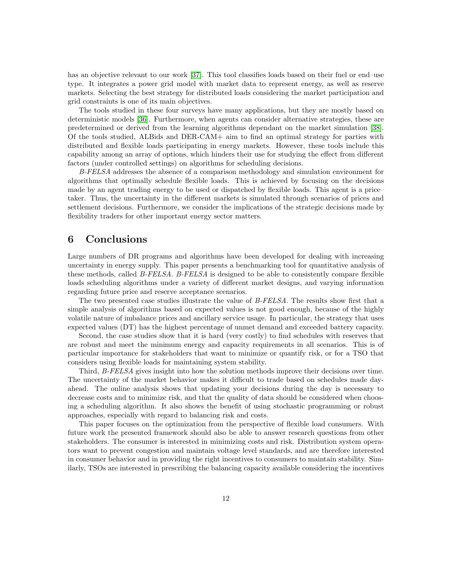has an objective relevant to our work [\[37\]](#page-15-4). This tool classifies loads based on their fuel or end–use type. It integrates a power grid model with market data to represent energy, as well as reserve markets. Selecting the best strategy for distributed loads considering the market participation and grid constraints is one of its main objectives.

The tools studied in these four surveys have many applications, but they are mostly based on deterministic models [\[36\]](#page-15-3). Furthermore, when agents can consider alternative strategies, these are predetermined or derived from the learning algorithms dependant on the market simulation [\[38\]](#page-15-5). Of the tools studied, ALBids and DER-CAM+ aim to find an optimal strategy for parties with distributed and flexible loads participating in energy markets. However, these tools include this capability among an array of options, which hinders their use for studying the effect from different factors (under controlled settings) on algorithms for scheduling decisions.

B-FELSA addresses the absence of a comparison methodology and simulation environment for algorithms that optimally schedule flexible loads. This is achieved by focusing on the decisions made by an agent trading energy to be used or dispatched by flexible loads. This agent is a price– taker. Thus, the uncertainty in the different markets is simulated through scenarios of prices and settlement decisions. Furthermore, we consider the implications of the strategic decisions made by flexibility traders for other important energy sector matters.

# 6 Conclusions

Large numbers of DR programs and algorithms have been developed for dealing with increasing uncertainty in energy supply. This paper presents a benchmarking tool for quantitative analysis of these methods, called B-FELSA. B-FELSA is designed to be able to consistently compare flexible loads scheduling algorithms under a variety of different market designs, and varying information regarding future price and reserve acceptance scenarios.

The two presented case studies illustrate the value of B-FELSA. The results show first that a simple analysis of algorithms based on expected values is not good enough, because of the highly volatile nature of imbalance prices and ancillary service usage. In particular, the strategy that uses expected values (DT) has the highest percentage of unmet demand and exceeded battery capacity.

Second, the case studies show that it is hard (very costly) to find schedules with reserves that are robust and meet the minimum energy and capacity requirements in all scenarios. This is of particular importance for stakeholders that want to minimize or quantify risk, or for a TSO that considers using flexible loads for maintaining system stability.

Third, B-FELSA gives insight into how the solution methods improve their decisions over time. The uncertainty of the market behavior makes it difficult to trade based on schedules made dayahead. The online analysis shows that updating your decisions during the day is necessary to decrease costs and to minimize risk, and that the quality of data should be considered when choosing a scheduling algorithm. It also shows the benefit of using stochastic programming or robust approaches, especially with regard to balancing risk and costs.

This paper focuses on the optimization from the perspective of flexible load consumers. With future work the presented framework should also be able to answer research questions from other stakeholders. The consumer is interested in minimizing costs and risk. Distribution system operators want to prevent congestion and maintain voltage level standards, and are therefore interested in consumer behavior and in providing the right incentives to consumers to maintain stability. Similarly, TSOs are interested in prescribing the balancing capacity available considering the incentives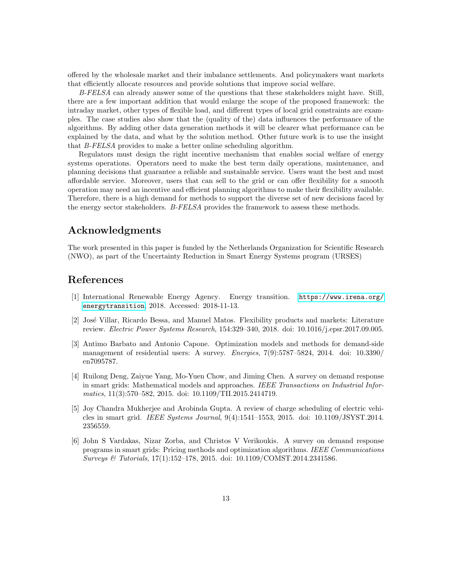offered by the wholesale market and their imbalance settlements. And policymakers want markets that efficiently allocate resources and provide solutions that improve social welfare.

B-FELSA can already answer some of the questions that these stakeholders might have. Still, there are a few important addition that would enlarge the scope of the proposed framework: the intraday market, other types of flexible load, and different types of local grid constraints are examples. The case studies also show that the (quality of the) data influences the performance of the algorithms. By adding other data generation methods it will be clearer what performance can be explained by the data, and what by the solution method. Other future work is to use the insight that B-FELSA provides to make a better online scheduling algorithm.

Regulators must design the right incentive mechanism that enables social welfare of energy systems operations. Operators need to make the best term daily operations, maintenance, and planning decisions that guarantee a reliable and sustainable service. Users want the best and most affordable service. Moreover, users that can sell to the grid or can offer flexibility for a smooth operation may need an incentive and efficient planning algorithms to make their flexibility available. Therefore, there is a high demand for methods to support the diverse set of new decisions faced by the energy sector stakeholders. B-FELSA provides the framework to assess these methods.

# Acknowledgments

The work presented in this paper is funded by the Netherlands Organization for Scientific Research (NWO), as part of the Uncertainty Reduction in Smart Energy Systems program (URSES)

# References

- <span id="page-12-0"></span>[1] International Renewable Energy Agency. Energy transition. [https://www.irena.org/](https://www.irena.org/energytransition) [energytransition](https://www.irena.org/energytransition), 2018. Accessed: 2018-11-13.
- <span id="page-12-1"></span>[2] Jos´e Villar, Ricardo Bessa, and Manuel Matos. Flexibility products and markets: Literature review. Electric Power Systems Research, 154:329–340, 2018. doi: 10.1016/j.epsr.2017.09.005.
- <span id="page-12-2"></span>[3] Antimo Barbato and Antonio Capone. Optimization models and methods for demand-side management of residential users: A survey. Energies, 7(9):5787–5824, 2014. doi: 10.3390/ en7095787.
- <span id="page-12-3"></span>[4] Ruilong Deng, Zaiyue Yang, Mo-Yuen Chow, and Jiming Chen. A survey on demand response in smart grids: Mathematical models and approaches. IEEE Transactions on Industrial Informatics, 11(3):570–582, 2015. doi: 10.1109/TII.2015.2414719.
- <span id="page-12-4"></span>[5] Joy Chandra Mukherjee and Arobinda Gupta. A review of charge scheduling of electric vehicles in smart grid. IEEE Systems Journal, 9(4):1541–1553, 2015. doi: 10.1109/JSYST.2014. 2356559.
- <span id="page-12-5"></span>[6] John S Vardakas, Nizar Zorba, and Christos V Verikoukis. A survey on demand response programs in smart grids: Pricing methods and optimization algorithms. IEEE Communications Surveys & Tutorials, 17(1):152–178, 2015. doi: 10.1109/COMST.2014.2341586.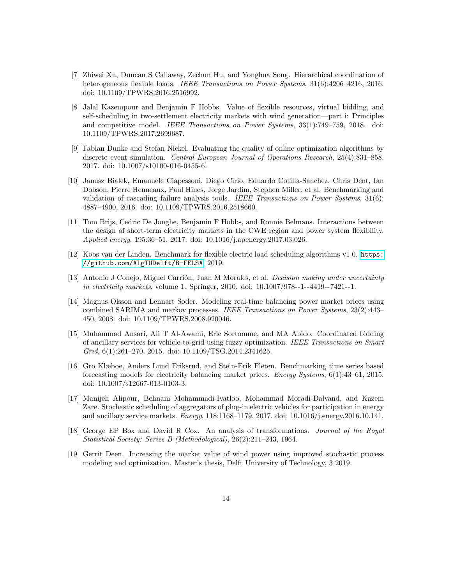- <span id="page-13-0"></span>[7] Zhiwei Xu, Duncan S Callaway, Zechun Hu, and Yonghua Song. Hierarchical coordination of heterogeneous flexible loads. IEEE Transactions on Power Systems,  $31(6):4206-4216$ ,  $2016$ . doi: 10.1109/TPWRS.2016.2516992.
- <span id="page-13-1"></span>[8] Jalal Kazempour and Benjamin F Hobbs. Value of flexible resources, virtual bidding, and self-scheduling in two-settlement electricity markets with wind generation—part i: Principles and competitive model. IEEE Transactions on Power Systems, 33(1):749–759, 2018. doi: 10.1109/TPWRS.2017.2699687.
- <span id="page-13-2"></span>[9] Fabian Dunke and Stefan Nickel. Evaluating the quality of online optimization algorithms by discrete event simulation. Central European Journal of Operations Research, 25(4):831–858, 2017. doi: 10.1007/s10100-016-0455-6.
- <span id="page-13-3"></span>[10] Janusz Bialek, Emanuele Ciapessoni, Diego Cirio, Eduardo Cotilla-Sanchez, Chris Dent, Ian Dobson, Pierre Henneaux, Paul Hines, Jorge Jardim, Stephen Miller, et al. Benchmarking and validation of cascading failure analysis tools. IEEE Transactions on Power Systems, 31(6): 4887–4900, 2016. doi: 10.1109/TPWRS.2016.2518660.
- <span id="page-13-4"></span>[11] Tom Brijs, Cedric De Jonghe, Benjamin F Hobbs, and Ronnie Belmans. Interactions between the design of short-term electricity markets in the CWE region and power system flexibility. Applied energy, 195:36–51, 2017. doi: 10.1016/j.apenergy.2017.03.026.
- <span id="page-13-5"></span>[12] Koos van der Linden. Benchmark for flexible electric load scheduling algorithms v1.0. [https:](https://github.com/AlgTUDelft/B-FELSA) [//github.com/AlgTUDelft/B-FELSA](https://github.com/AlgTUDelft/B-FELSA), 2019.
- <span id="page-13-6"></span>[13] Antonio J Conejo, Miguel Carrión, Juan M Morales, et al. *Decision making under uncertainty* in electricity markets, volume 1. Springer, 2010. doi: 10.1007/978--1--4419--7421--1.
- <span id="page-13-8"></span>[14] Magnus Olsson and Lennart Soder. Modeling real-time balancing power market prices using combined SARIMA and markov processes. IEEE Transactions on Power Systems, 23(2):443– 450, 2008. doi: 10.1109/TPWRS.2008.920046.
- [15] Muhammad Ansari, Ali T Al-Awami, Eric Sortomme, and MA Abido. Coordinated bidding of ancillary services for vehicle-to-grid using fuzzy optimization. IEEE Transactions on Smart Grid, 6(1):261–270, 2015. doi: 10.1109/TSG.2014.2341625.
- <span id="page-13-9"></span>[16] Gro Klæboe, Anders Lund Eriksrud, and Stein-Erik Fleten. Benchmarking time series based forecasting models for electricity balancing market prices. Energy Systems, 6(1):43–61, 2015. doi: 10.1007/s12667-013-0103-3.
- <span id="page-13-7"></span>[17] Manijeh Alipour, Behnam Mohammadi-Ivatloo, Mohammad Moradi-Dalvand, and Kazem Zare. Stochastic scheduling of aggregators of plug-in electric vehicles for participation in energy and ancillary service markets. Energy, 118:1168–1179, 2017. doi: 10.1016/j.energy.2016.10.141.
- <span id="page-13-10"></span>[18] George EP Box and David R Cox. An analysis of transformations. Journal of the Royal Statistical Society: Series B (Methodological), 26(2):211–243, 1964.
- <span id="page-13-11"></span>[19] Gerrit Deen. Increasing the market value of wind power using improved stochastic process modeling and optimization. Master's thesis, Delft University of Technology, 3 2019.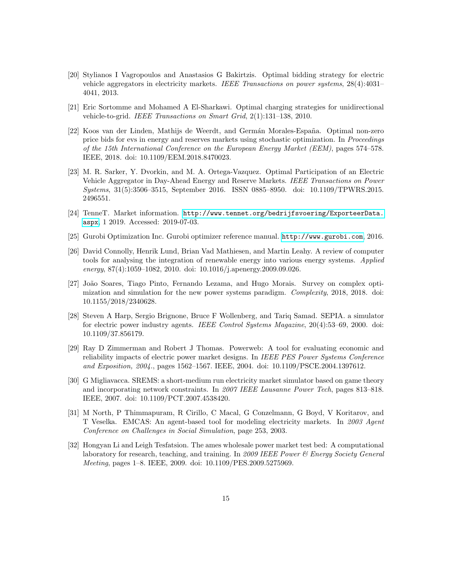- <span id="page-14-0"></span>[20] Stylianos I Vagropoulos and Anastasios G Bakirtzis. Optimal bidding strategy for electric vehicle aggregators in electricity markets. IEEE Transactions on power systems, 28(4):4031– 4041, 2013.
- <span id="page-14-1"></span>[21] Eric Sortomme and Mohamed A El-Sharkawi. Optimal charging strategies for unidirectional vehicle-to-grid. IEEE Transactions on Smart Grid, 2(1):131–138, 2010.
- <span id="page-14-2"></span>[22] Koos van der Linden, Mathijs de Weerdt, and Germán Morales-España. Optimal non-zero price bids for evs in energy and reserves markets using stochastic optimization. In Proceedings of the 15th International Conference on the European Energy Market (EEM), pages 574–578. IEEE, 2018. doi: 10.1109/EEM.2018.8470023.
- <span id="page-14-3"></span>[23] M. R. Sarker, Y. Dvorkin, and M. A. Ortega-Vazquez. Optimal Participation of an Electric Vehicle Aggregator in Day-Ahead Energy and Reserve Markets. IEEE Transactions on Power Systems, 31(5):3506–3515, September 2016. ISSN 0885–8950. doi: 10.1109/TPWRS.2015. 2496551.
- <span id="page-14-4"></span>[24] TenneT. Market information. [http://www.tennet.org/bedrijfsvoering/ExporteerData.](http://www.tennet.org/bedrijfsvoering/ExporteerData.aspx) [aspx](http://www.tennet.org/bedrijfsvoering/ExporteerData.aspx), 1 2019. Accessed: 2019-07-03.
- <span id="page-14-5"></span>[25] Gurobi Optimization Inc. Gurobi optimizer reference manual. <http://www.gurobi.com>, 2016.
- <span id="page-14-6"></span>[26] David Connolly, Henrik Lund, Brian Vad Mathiesen, and Martin Leahy. A review of computer tools for analysing the integration of renewable energy into various energy systems. Applied energy, 87(4):1059–1082, 2010. doi: 10.1016/j.apenergy.2009.09.026.
- <span id="page-14-7"></span>[27] João Soares, Tiago Pinto, Fernando Lezama, and Hugo Morais. Survey on complex optimization and simulation for the new power systems paradigm. Complexity, 2018, 2018. doi: 10.1155/2018/2340628.
- <span id="page-14-8"></span>[28] Steven A Harp, Sergio Brignone, Bruce F Wollenberg, and Tariq Samad. SEPIA. a simulator for electric power industry agents. IEEE Control Systems Magazine, 20(4):53–69, 2000. doi: 10.1109/37.856179.
- <span id="page-14-9"></span>[29] Ray D Zimmerman and Robert J Thomas. Powerweb: A tool for evaluating economic and reliability impacts of electric power market designs. In IEEE PES Power Systems Conference and Exposition, 2004., pages 1562–1567. IEEE, 2004. doi: 10.1109/PSCE.2004.1397612.
- <span id="page-14-10"></span>[30] G Migliavacca. SREMS: a short-medium run electricity market simulator based on game theory and incorporating network constraints. In 2007 IEEE Lausanne Power Tech, pages 813–818. IEEE, 2007. doi: 10.1109/PCT.2007.4538420.
- <span id="page-14-11"></span>[31] M North, P Thimmapuram, R Cirillo, C Macal, G Conzelmann, G Boyd, V Koritarov, and T Veselka. EMCAS: An agent-based tool for modeling electricity markets. In 2003 Agent Conference on Challenges in Social Simulation, page 253, 2003.
- <span id="page-14-12"></span>[32] Hongyan Li and Leigh Tesfatsion. The ames wholesale power market test bed: A computational laboratory for research, teaching, and training. In 2009 IEEE Power & Energy Society General Meeting, pages 1–8. IEEE, 2009. doi: 10.1109/PES.2009.5275969.